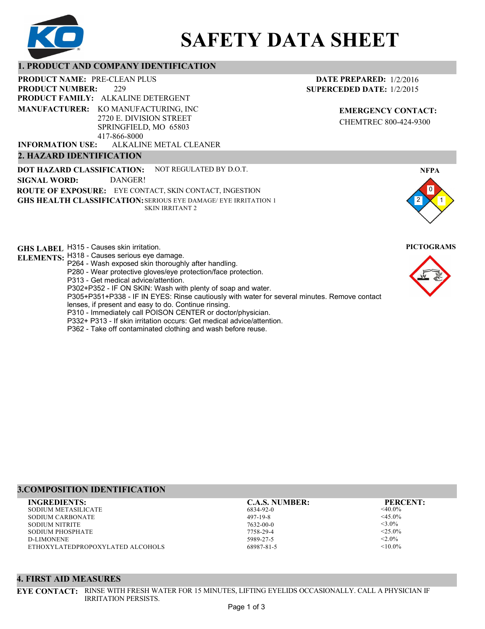

# **SAFETY DATA SHEET**

# **1. PRODUCT AND COMPANY IDENTIFICATION**

229 **PRODUCT NAME: PRE-CLEAN PLUS PRODUCT FAMILY: ALKALINE DETERGENT** ALKALINE METAL CLEANER **PRODUCT NUMBER: MANUFACTURER:** KO MANUFACTURING, INC 2720 E. DIVISION STREET SPRINGFIELD, MO 65803 417-866-8000 **INFORMATION USE:**

## **2. HAZARD IDENTIFICATION**

**DOT HAZARD CLASSIFICATION: GHS HEALTH CLASSIFICATION:** SERIOUS EYE DAMAGE/ EYE IRRITATION 1 **ROUTE OF EXPOSURE:** EYE CONTACT, SKIN CONTACT, INGESTION NOT REGULATED BY D.O.T. SKIN IRRITANT 2 **SIGNAL WORD:** DANGER!

**GHS LABEL**  H315 - Causes skin irritation. **PICTOGRAMS**

- **ELEMENTS:** H318 Causes serious eye damage.
	- P264 Wash exposed skin thoroughly after handling.
	- P280 Wear protective gloves/eye protection/face protection.
	- P313 Get medical advice/attention.
	- P302+P352 IF ON SKIN: Wash with plenty of soap and water.

P305+P351+P338 - IF IN EYES: Rinse cautiously with water for several minutes. Remove contact

- lenses, if present and easy to do. Continue rinsing.
- P310 Immediately call POISON CENTER or doctor/physician. P332+ P313 - If skin irritation occurs: Get medical advice/attention.
- 
- P362 Take off contaminated clothing and wash before reuse.

# **3.COMPOSITION IDENTIFICATION**

SODIUM METASILICATE SODIUM CARBONATE SODIUM NITRITE SODIUM PHOSPHATE D-LIMONENE ETHOXYLATEDPROPOXYLATED ALCOHOLS **INGREDIENTS: C.A.S. NUMBER: PERCENT:**

6834-92-0 497-19-8 7632-00-0 7758-29-4

5989-27-5 68987-81-5

<40.0%  $<$ 45.0% <3.0%  $<$  2.5.0%  $< 2.0\%$  $< 10.0\%$ 

## **4. FIRST AID MEASURES**

**EYE CONTACT:** RINSE WITH FRESH WATER FOR 15 MINUTES, LIFTING EYELIDS OCCASIONALLY. CALL A PHYSICIAN IF IRRITATION PERSISTS.

**EMERGENCY CONTACT:** CHEMTREC 800-424-9300





0 **NFPA**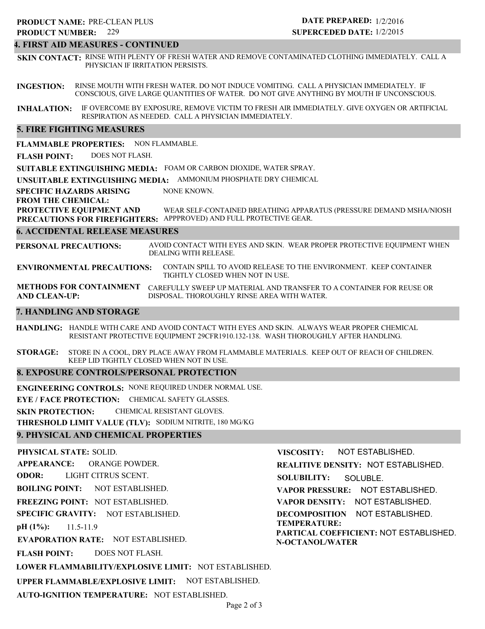## **4. FIRST AID MEASURES - CONTINUED**

**SKIN CONTACT:** RINSE WITH PLENTY OF FRESH WATER AND REMOVE CONTAMINATED CLOTHING IMMEDIATELY. CALL A PHYSICIAN IF IRRITATION PERSISTS.

**INGESTION:** RINSE MOUTH WITH FRESH WATER. DO NOT INDUCE VOMITING. CALL A PHYSICIAN IMMEDIATELY. IF CONSCIOUS, GIVE LARGE QUANTITIES OF WATER. DO NOT GIVE ANYTHING BY MOUTH IF UNCONSCIOUS.

**INHALATION:** IF OVERCOME BY EXPOSURE, REMOVE VICTIM TO FRESH AIR IMMEDIATELY. GIVE OXYGEN OR ARTIFICIAL RESPIRATION AS NEEDED. CALL A PHYSICIAN IMMEDIATELY.

## **5. FIRE FIGHTING MEASURES**

**FLAMMABLE PROPERTIES:** NON FLAMMABLE.

**FLASH POINT:** DOES NOT FLASH.

**SUITABLE EXTINGUISHING MEDIA:** FOAM OR CARBON DIOXIDE, WATER SPRAY.

**UNSUITABLE EXTINGUISHING MEDIA:** AMMONIUM PHOSPHATE DRY CHEMICAL

**SPECIFIC HAZARDS ARISING** NONE KNOWN.

#### **FROM THE CHEMICAL:**

**PROTECTIVE EQUIPMENT AND PRECAUTIONS FOR FIREFIGHTERS:** APPPROVED) AND FULL PROTECTIVE GEAR. WEAR SELF-CONTAINED BREATHING APPARATUS (PRESSURE DEMAND MSHA/NIOSH

### **6. ACCIDENTAL RELEASE MEASURES**

**PERSONAL PRECAUTIONS:** AVOID CONTACT WITH EYES AND SKIN. WEAR PROPER PROTECTIVE EQUIPMENT WHEN DEALING WITH RELEASE.

**ENVIRONMENTAL PRECAUTIONS:** CONTAIN SPILL TO AVOID RELEASE TO THE ENVIRONMENT. KEEP CONTAINER TIGHTLY CLOSED WHEN NOT IN USE.

**METHODS FOR CONTAINMENT** CAREFULLY SWEEP UP MATERIAL AND TRANSFER TO A CONTAINER FOR REUSE OR **AND CLEAN-UP:** DISPOSAL. THOROUGHLY RINSE AREA WITH WATER.

## **7. HANDLING AND STORAGE**

**HANDLING:** HANDLE WITH CARE AND AVOID CONTACT WITH EYES AND SKIN. ALWAYS WEAR PROPER CHEMICAL RESISTANT PROTECTIVE EQUIPMENT 29CFR1910.132-138. WASH THOROUGHLY AFTER HANDLING.

**STORAGE:** STORE IN A COOL, DRY PLACE AWAY FROM FLAMMABLE MATERIALS. KEEP OUT OF REACH OF CHILDREN. KEEP LID TIGHTLY CLOSED WHEN NOT IN USE.

## **8. EXPOSURE CONTROLS/PERSONAL PROTECTION**

**ENGINEERING CONTROLS:** NONE REQUIRED UNDER NORMAL USE.

**EYE / FACE PROTECTION:** CHEMICAL SAFETY GLASSES.

**SKIN PROTECTION:** CHEMICAL RESISTANT GLOVES.

**THRESHOLD LIMIT VALUE (TLV):** SODIUM NITRITE, 180 MG/KG

## **9. PHYSICAL AND CHEMICAL PROPERTIES**

**PHYSICAL STATE:** SOLID. **APPEARANCE: ODOR: BOILING POINT: FREEZING POINT:** NOT ESTABLISHED. **SPECIFIC GRAVITY:** NOT ESTABLISHED. **pH (1%): EVAPORATION RATE:** NOT ESTABLISHED. **FLASH POINT: LOWER FLAMMABILITY/EXPLOSIVE LIMIT:** NOT ESTABLISHED. **UPPER FLAMMABLE/EXPLOSIVE LIMIT:** NOT ESTABLISHED. NOT ESTABLISHED. 11.5-11.9 DOES NOT FLASH. ORANGE POWDER. LIGHT CITRUS SCENT. **VISCOSITY: REALITIVE DENSITY:** NOT ESTABLISHED. **SOLUBILITY: VAPOR PRESSURE:** NOT ESTABLISHED. **VAPOR DENSITY:** NOT ESTABLISHED. **DECOMPOSITION** NOT ESTABLISHED. **TEMPERATURE: PARTICAL COEFFICIENT:** NOT ESTABLISHED. **N-OCTANOL/WATER** NOT ESTABLISHED. SOLUBLE.

**AUTO-IGNITION TEMPERATURE:** NOT ESTABLISHED.